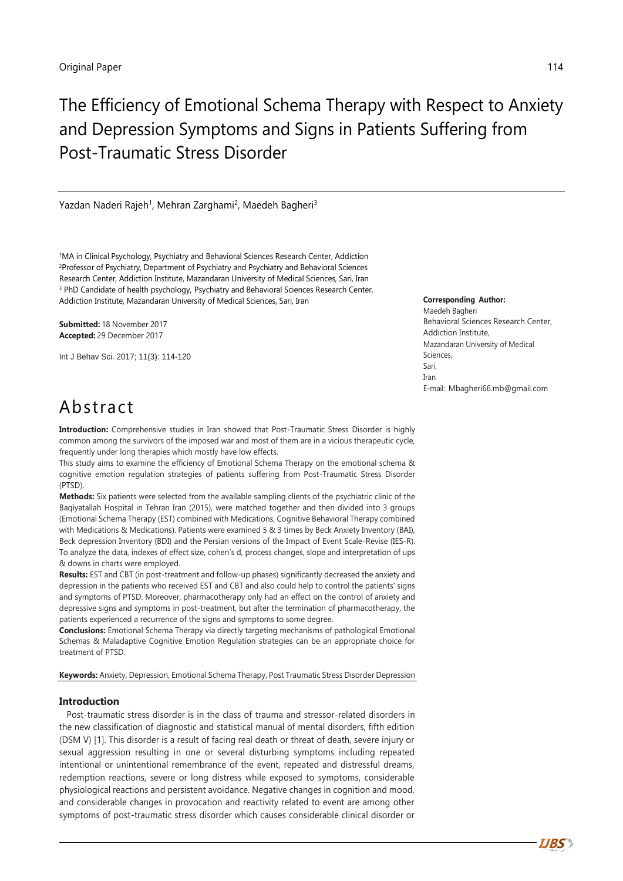# The Efficiency of Emotional Schema Therapy with Respect to Anxiety and Depression Symptoms and Signs in Patients Suffering from Post-Traumatic Stress Disorder

Yazdan Naderi Rajeh<sup>1</sup>, Mehran Zarghami<sup>2</sup>, Maedeh Bagheri<sup>3</sup>

<sup>1</sup>MA in Clinical Psychology, Psychiatry and Behavioral Sciences Research Center, Addiction <sup>2</sup>Professor of Psychiatry, Department of Psychiatry and Psychiatry and Behavioral Sciences Research Center, Addiction Institute, Mazandaran University of Medical Sciences, Sari, Iran <sup>3</sup> PhD Candidate of health psychology, Psychiatry and Behavioral Sciences Research Center, Addiction Institute, Mazandaran University of Medical Sciences, Sari, Iran

**Submitted:** 18 November 2017 **Accepted:** 29 December 2017

Int J Behav Sci. 2017; 11(3): 114-120

**Corresponding Author:**

Maedeh Bagheri Behavioral Sciences Research Center, Addiction Institute, Mazandaran University of Medical Sciences, Sari, Iran E-mail: Mbagheri66.mb@gmail.com

## Abstract

**Introduction:** Comprehensive studies in Iran showed that Post-Traumatic Stress Disorder is highly common among the survivors of the imposed war and most of them are in a vicious therapeutic cycle, frequently under long therapies which mostly have low effects.

This study aims to examine the efficiency of Emotional Schema Therapy on the emotional schema & cognitive emotion regulation strategies of patients suffering from Post-Traumatic Stress Disorder (PTSD).

**Methods:** Six patients were selected from the available sampling clients of the psychiatric clinic of the Baqiyatallah Hospital in Tehran Iran (2015), were matched together and then divided into 3 groups (Emotional Schema Therapy (EST) combined with Medications, Cognitive Behavioral Therapy combined with Medications & Medications). Patients were examined 5 & 3 times by Beck Anxiety Inventory (BAI), Beck depression Inventory (BDI) and the Persian versions of the Impact of Event Scale-Revise (IES-R). To analyze the data, indexes of effect size, cohen's d, process changes, slope and interpretation of ups & downs in charts were employed.

**Results:** EST and CBT (in post-treatment and follow-up phases) significantly decreased the anxiety and depression in the patients who received EST and CBT and also could help to control the patients' signs and symptoms of PTSD. Moreover, pharmacotherapy only had an effect on the control of anxiety and depressive signs and symptoms in post-treatment, but after the termination of pharmacotherapy, the patients experienced a recurrence of the signs and symptoms to some degree.

**Conclusions:** Emotional Schema Therapy via directly targeting mechanisms of pathological Emotional Schemas & Maladaptive Cognitive Emotion Regulation strategies can be an appropriate choice for treatment of PTSD.

**Keywords:** Anxiety, Depression, Emotional Schema Therapy, Post Traumatic Stress Disorder Depression

### **Introduction**

Post-traumatic stress disorder is in the class of trauma and stressor-related disorders in the new classification of diagnostic and statistical manual of mental disorders, fifth edition (DSM V) [1]. This disorder is a result of facing real death or threat of death, severe injury or sexual aggression resulting in one or several disturbing symptoms including repeated intentional or unintentional remembrance of the event, repeated and distressful dreams, redemption reactions, severe or long distress while exposed to symptoms, considerable physiological reactions and persistent avoidance. Negative changes in cognition and mood, and considerable changes in provocation and reactivity related to event are among other symptoms of post-traumatic stress disorder which causes considerable clinical disorder or

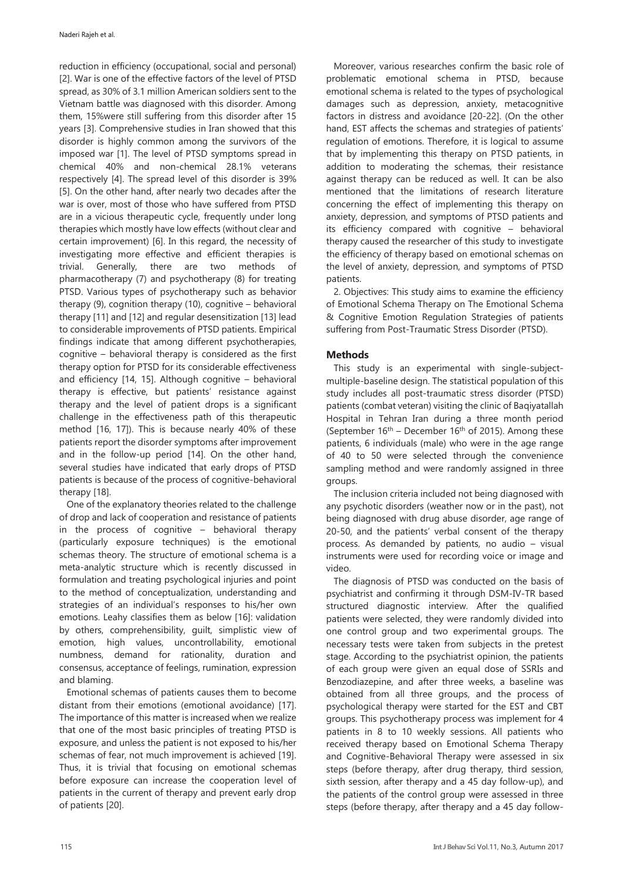reduction in efficiency (occupational, social and personal) [2]. War is one of the effective factors of the level of PTSD spread, as 30% of 3.1 million American soldiers sent to the Vietnam battle was diagnosed with this disorder. Among them, 15%were still suffering from this disorder after 15 years [3]. Comprehensive studies in Iran showed that this disorder is highly common among the survivors of the imposed war [1]. The level of PTSD symptoms spread in chemical 40% and non-chemical 28.1% veterans respectively [4]. The spread level of this disorder is 39% [5]. On the other hand, after nearly two decades after the war is over, most of those who have suffered from PTSD are in a vicious therapeutic cycle, frequently under long therapies which mostly have low effects (without clear and certain improvement) [6]. In this regard, the necessity of investigating more effective and efficient therapies is trivial. Generally, there are two methods of pharmacotherapy (7) and psychotherapy (8) for treating PTSD. Various types of psychotherapy such as behavior therapy (9), cognition therapy (10), cognitive – behavioral therapy [11] and [12] and regular desensitization [13] lead to considerable improvements of PTSD patients. Empirical findings indicate that among different psychotherapies, cognitive – behavioral therapy is considered as the first therapy option for PTSD for its considerable effectiveness and efficiency [14, 15]. Although cognitive – behavioral therapy is effective, but patients' resistance against therapy and the level of patient drops is a significant challenge in the effectiveness path of this therapeutic method [16, 17]). This is because nearly 40% of these patients report the disorder symptoms after improvement and in the follow-up period [14]. On the other hand, several studies have indicated that early drops of PTSD patients is because of the process of cognitive-behavioral therapy [18].

One of the explanatory theories related to the challenge of drop and lack of cooperation and resistance of patients in the process of cognitive – behavioral therapy (particularly exposure techniques) is the emotional schemas theory. The structure of emotional schema is a meta-analytic structure which is recently discussed in formulation and treating psychological injuries and point to the method of conceptualization, understanding and strategies of an individual's responses to his/her own emotions. Leahy classifies them as below [16]: validation by others, comprehensibility, guilt, simplistic view of emotion, high values, uncontrollability, emotional numbness, demand for rationality, duration and consensus, acceptance of feelings, rumination, expression and blaming.

Emotional schemas of patients causes them to become distant from their emotions (emotional avoidance) [17]. The importance of this matter is increased when we realize that one of the most basic principles of treating PTSD is exposure, and unless the patient is not exposed to his/her schemas of fear, not much improvement is achieved [19]. Thus, it is trivial that focusing on emotional schemas before exposure can increase the cooperation level of patients in the current of therapy and prevent early drop of patients [20].

Moreover, various researches confirm the basic role of problematic emotional schema in PTSD, because emotional schema is related to the types of psychological damages such as depression, anxiety, metacognitive factors in distress and avoidance [20-22]. (On the other hand, EST affects the schemas and strategies of patients' regulation of emotions. Therefore, it is logical to assume that by implementing this therapy on PTSD patients, in addition to moderating the schemas, their resistance against therapy can be reduced as well. It can be also mentioned that the limitations of research literature concerning the effect of implementing this therapy on anxiety, depression, and symptoms of PTSD patients and its efficiency compared with cognitive – behavioral therapy caused the researcher of this study to investigate the efficiency of therapy based on emotional schemas on the level of anxiety, depression, and symptoms of PTSD patients.

2. Objectives: This study aims to examine the efficiency of Emotional Schema Therapy on The Emotional Schema & Cognitive Emotion Regulation Strategies of patients suffering from Post-Traumatic Stress Disorder (PTSD).

## **Methods**

This study is an experimental with single-subjectmultiple-baseline design. The statistical population of this study includes all post-traumatic stress disorder (PTSD) patients (combat veteran) visiting the clinic of Baqiyatallah Hospital in Tehran Iran during a three month period (September  $16<sup>th</sup>$  – December  $16<sup>th</sup>$  of 2015). Among these patients, 6 individuals (male) who were in the age range of 40 to 50 were selected through the convenience sampling method and were randomly assigned in three groups.

The inclusion criteria included not being diagnosed with any psychotic disorders (weather now or in the past), not being diagnosed with drug abuse disorder, age range of 20-50, and the patients' verbal consent of the therapy process. As demanded by patients, no audio – visual instruments were used for recording voice or image and video.

The diagnosis of PTSD was conducted on the basis of psychiatrist and confirming it through DSM-IV-TR based structured diagnostic interview. After the qualified patients were selected, they were randomly divided into one control group and two experimental groups. The necessary tests were taken from subjects in the pretest stage. According to the psychiatrist opinion, the patients of each group were given an equal dose of SSRIs and Benzodiazepine, and after three weeks, a baseline was obtained from all three groups, and the process of psychological therapy were started for the EST and CBT groups. This psychotherapy process was implement for 4 patients in 8 to 10 weekly sessions. All patients who received therapy based on Emotional Schema Therapy and Cognitive-Behavioral Therapy were assessed in six steps (before therapy, after drug therapy, third session, sixth session, after therapy and a 45 day follow-up), and the patients of the control group were assessed in three steps (before therapy, after therapy and a 45 day follow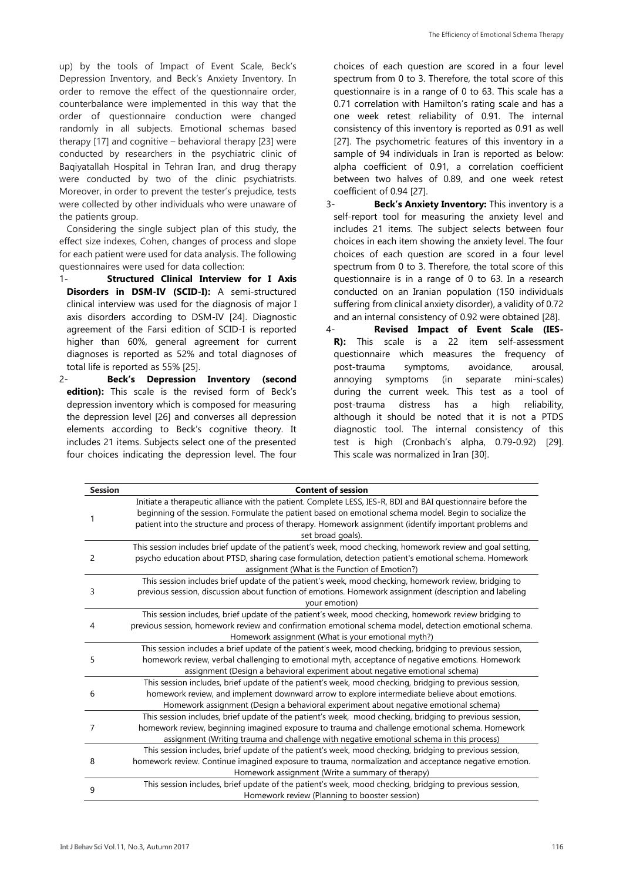up) by the tools of Impact of Event Scale, Beck's Depression Inventory, and Beck's Anxiety Inventory. In order to remove the effect of the questionnaire order, counterbalance were implemented in this way that the order of questionnaire conduction were changed randomly in all subjects. Emotional schemas based therapy [17] and cognitive – behavioral therapy [23] were conducted by researchers in the psychiatric clinic of Baqiyatallah Hospital in Tehran Iran, and drug therapy were conducted by two of the clinic psychiatrists. Moreover, in order to prevent the tester's prejudice, tests were collected by other individuals who were unaware of the patients group.

Considering the single subject plan of this study, the effect size indexes, Cohen, changes of process and slope for each patient were used for data analysis. The following questionnaires were used for data collection:

- 1- **Structured Clinical Interview for I Axis Disorders in DSM-IV (SCID-I):** A semi-structured clinical interview was used for the diagnosis of major I axis disorders according to DSM-IV [24]. Diagnostic agreement of the Farsi edition of SCID-I is reported higher than 60%, general agreement for current diagnoses is reported as 52% and total diagnoses of total life is reported as 55% [25].
- 2- **Beck's Depression Inventory (second edition):** This scale is the revised form of Beck's depression inventory which is composed for measuring the depression level [26] and converses all depression elements according to Beck's cognitive theory. It includes 21 items. Subjects select one of the presented four choices indicating the depression level. The four

choices of each question are scored in a four level spectrum from 0 to 3. Therefore, the total score of this questionnaire is in a range of 0 to 63. This scale has a 0.71 correlation with Hamilton's rating scale and has a one week retest reliability of 0.91. The internal consistency of this inventory is reported as 0.91 as well [27]. The psychometric features of this inventory in a sample of 94 individuals in Iran is reported as below: alpha coefficient of 0.91, a correlation coefficient between two halves of 0.89, and one week retest coefficient of 0.94 [27].

- 3- **Beck's Anxiety Inventory:** This inventory is a self-report tool for measuring the anxiety level and includes 21 items. The subject selects between four choices in each item showing the anxiety level. The four choices of each question are scored in a four level spectrum from 0 to 3. Therefore, the total score of this questionnaire is in a range of 0 to 63. In a research conducted on an Iranian population (150 individuals suffering from clinical anxiety disorder), a validity of 0.72 and an internal consistency of 0.92 were obtained [28].
- 4- **Revised Impact of Event Scale (IES-R):** This scale is a 22 item self-assessment questionnaire which measures the frequency of post-trauma symptoms, avoidance, arousal, annoying symptoms (in separate mini-scales) during the current week. This test as a tool of post-trauma distress has a high reliability, although it should be noted that it is not a PTDS diagnostic tool. The internal consistency of this test is high (Cronbach's alpha, 0.79-0.92) [29]. This scale was normalized in Iran [30].

| <b>Session</b> | <b>Content of session</b>                                                                                                                                                                                                                                                                                                                               |
|----------------|---------------------------------------------------------------------------------------------------------------------------------------------------------------------------------------------------------------------------------------------------------------------------------------------------------------------------------------------------------|
| 1              | Initiate a therapeutic alliance with the patient. Complete LESS, IES-R, BDI and BAI questionnaire before the<br>beginning of the session. Formulate the patient based on emotional schema model. Begin to socialize the<br>patient into the structure and process of therapy. Homework assignment (identify important problems and<br>set broad goals). |
| 2              | This session includes brief update of the patient's week, mood checking, homework review and goal setting,<br>psycho education about PTSD, sharing case formulation, detection patient's emotional schema. Homework<br>assignment (What is the Function of Emotion?)                                                                                    |
| 3              | This session includes brief update of the patient's week, mood checking, homework review, bridging to<br>previous session, discussion about function of emotions. Homework assignment (description and labeling<br>your emotion)                                                                                                                        |
| 4              | This session includes, brief update of the patient's week, mood checking, homework review bridging to<br>previous session, homework review and confirmation emotional schema model, detection emotional schema.<br>Homework assignment (What is your emotional myth?)                                                                                   |
| 5              | This session includes a brief update of the patient's week, mood checking, bridging to previous session,<br>homework review, verbal challenging to emotional myth, acceptance of negative emotions. Homework<br>assignment (Design a behavioral experiment about negative emotional schema)                                                             |
| 6              | This session includes, brief update of the patient's week, mood checking, bridging to previous session,<br>homework review, and implement downward arrow to explore intermediate believe about emotions.<br>Homework assignment (Design a behavioral experiment about negative emotional schema)                                                        |
| 7              | This session includes, brief update of the patient's week, mood checking, bridging to previous session,<br>homework review, beginning imagined exposure to trauma and challenge emotional schema. Homework<br>assignment (Writing trauma and challenge with negative emotional schema in this process)                                                  |
| 8              | This session includes, brief update of the patient's week, mood checking, bridging to previous session,<br>homework review. Continue imagined exposure to trauma, normalization and acceptance negative emotion.<br>Homework assignment (Write a summary of therapy)                                                                                    |
| 9              | This session includes, brief update of the patient's week, mood checking, bridging to previous session,<br>Homework review (Planning to booster session)                                                                                                                                                                                                |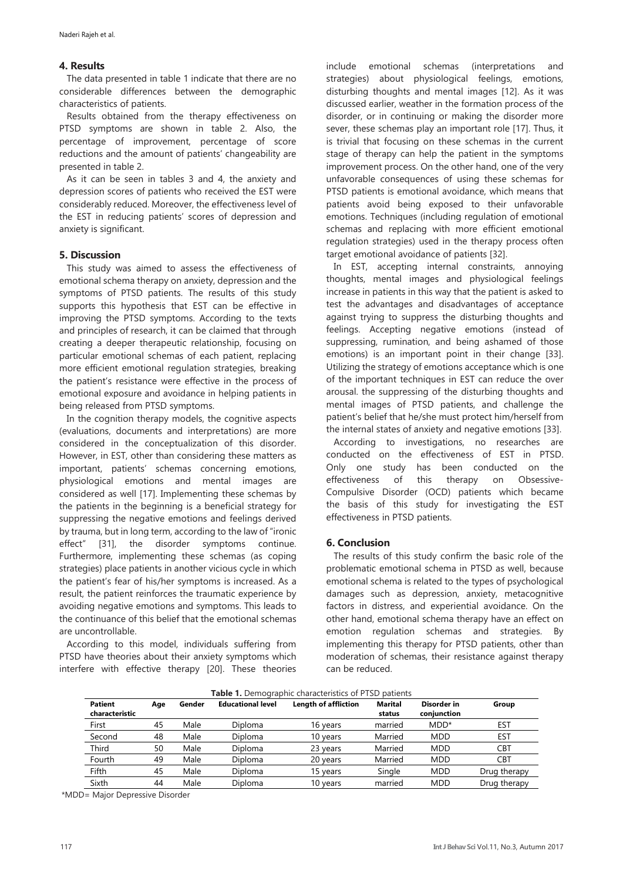#### **4. Results**

The data presented in table 1 indicate that there are no considerable differences between the demographic characteristics of patients.

Results obtained from the therapy effectiveness on PTSD symptoms are shown in table 2. Also, the percentage of improvement, percentage of score reductions and the amount of patients' changeability are presented in table 2.

As it can be seen in tables 3 and 4, the anxiety and depression scores of patients who received the EST were considerably reduced. Moreover, the effectiveness level of the EST in reducing patients' scores of depression and anxiety is significant.

#### **5. Discussion**

This study was aimed to assess the effectiveness of emotional schema therapy on anxiety, depression and the symptoms of PTSD patients. The results of this study supports this hypothesis that EST can be effective in improving the PTSD symptoms. According to the texts and principles of research, it can be claimed that through creating a deeper therapeutic relationship, focusing on particular emotional schemas of each patient, replacing more efficient emotional regulation strategies, breaking the patient's resistance were effective in the process of emotional exposure and avoidance in helping patients in being released from PTSD symptoms.

In the cognition therapy models, the cognitive aspects (evaluations, documents and interpretations) are more considered in the conceptualization of this disorder. However, in EST, other than considering these matters as important, patients' schemas concerning emotions, physiological emotions and mental images are considered as well [17]. Implementing these schemas by the patients in the beginning is a beneficial strategy for suppressing the negative emotions and feelings derived by trauma, but in long term, according to the law of "ironic effect" [31], the disorder symptoms continue. Furthermore, implementing these schemas (as coping strategies) place patients in another vicious cycle in which the patient's fear of his/her symptoms is increased. As a result, the patient reinforces the traumatic experience by avoiding negative emotions and symptoms. This leads to the continuance of this belief that the emotional schemas are uncontrollable.

According to this model, individuals suffering from PTSD have theories about their anxiety symptoms which interfere with effective therapy [20]. These theories include emotional schemas (interpretations and strategies) about physiological feelings, emotions, disturbing thoughts and mental images [12]. As it was discussed earlier, weather in the formation process of the disorder, or in continuing or making the disorder more sever, these schemas play an important role [17]. Thus, it is trivial that focusing on these schemas in the current stage of therapy can help the patient in the symptoms improvement process. On the other hand, one of the very unfavorable consequences of using these schemas for PTSD patients is emotional avoidance, which means that patients avoid being exposed to their unfavorable emotions. Techniques (including regulation of emotional schemas and replacing with more efficient emotional regulation strategies) used in the therapy process often target emotional avoidance of patients [32].

In EST, accepting internal constraints, annoying thoughts, mental images and physiological feelings increase in patients in this way that the patient is asked to test the advantages and disadvantages of acceptance against trying to suppress the disturbing thoughts and feelings. Accepting negative emotions (instead of suppressing, rumination, and being ashamed of those emotions) is an important point in their change [33]. Utilizing the strategy of emotions acceptance which is one of the important techniques in EST can reduce the over arousal. the suppressing of the disturbing thoughts and mental images of PTSD patients, and challenge the patient's belief that he/she must protect him/herself from the internal states of anxiety and negative emotions [33].

According to investigations, no researches are conducted on the effectiveness of EST in PTSD. Only one study has been conducted on the effectiveness of this therapy on Obsessive-Compulsive Disorder (OCD) patients which became the basis of this study for investigating the EST effectiveness in PTSD patients.

### **6. Conclusion**

The results of this study confirm the basic role of the problematic emotional schema in PTSD as well, because emotional schema is related to the types of psychological damages such as depression, anxiety, metacognitive factors in distress, and experiential avoidance. On the other hand, emotional schema therapy have an effect on emotion regulation schemas and strategies. By implementing this therapy for PTSD patients, other than moderation of schemas, their resistance against therapy can be reduced.

| Table 1. Demographic characteristics of PTSD patients |               |      |                          |                             |                |             |              |  |  |  |
|-------------------------------------------------------|---------------|------|--------------------------|-----------------------------|----------------|-------------|--------------|--|--|--|
| Patient                                               | Gender<br>Age |      | <b>Educational level</b> | <b>Length of affliction</b> | <b>Marital</b> | Disorder in | Group        |  |  |  |
| characteristic                                        |               |      |                          |                             | status         | conjunction |              |  |  |  |
| First                                                 | 45            | Male | Diploma                  | 16 years                    | married        | $MDD*$      | EST          |  |  |  |
| Second                                                | 48            | Male | Diploma                  | 10 years                    | Married        | <b>MDD</b>  | EST          |  |  |  |
| Third                                                 | 50            | Male | Diploma                  | 23 years                    | Married        | <b>MDD</b>  | <b>CBT</b>   |  |  |  |
| Fourth                                                | 49            | Male | Diploma                  | 20 years                    | Married        | <b>MDD</b>  | <b>CBT</b>   |  |  |  |
| Fifth                                                 | 45            | Male | Diploma                  | 15 years                    | Single         | <b>MDD</b>  | Drug therapy |  |  |  |
| Sixth                                                 | 44            | Male | Diploma                  | 10 years                    | married        | <b>MDD</b>  | Drug therapy |  |  |  |

\*MDD= Major Depressive Disorder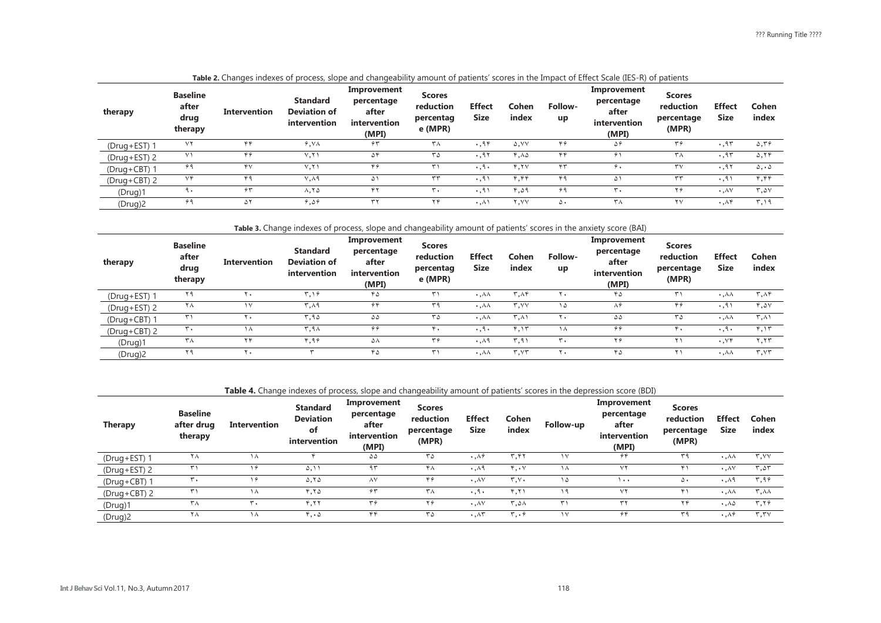| therapy      | <b>Baseline</b><br>after<br>drug<br>therapy | Intervention | <b>Standard</b><br><b>Deviation of</b><br>intervention | Improvement<br>percentage<br>after<br><i>intervention</i><br>(MPI) | <b>Scores</b><br>reduction<br>percentag<br>e (MPR) | <b>Effect</b><br><b>Size</b> | Cohen<br>index | Follow-<br>up   | Improvement<br>percentage<br>after<br>intervention<br>(MPI) | <b>Scores</b><br>reduction<br>percentage<br>(MPR) | <b>Effect</b><br><b>Size</b> | Cohen<br>index                   |
|--------------|---------------------------------------------|--------------|--------------------------------------------------------|--------------------------------------------------------------------|----------------------------------------------------|------------------------------|----------------|-----------------|-------------------------------------------------------------|---------------------------------------------------|------------------------------|----------------------------------|
| (Drug+EST) 1 | $\vee\Upsilon$                              | ۴۴           | 6.54                                                   | $\hat{\tau}$ ٣                                                     | ۳۸                                                 | .95                          | <b>s.VV</b>    | ۴۶              | ۵۶                                                          | $\mathbf{r}$                                      | .95                          | $\Delta$ , ۳۶                    |
| (Drug+EST) 2 | ۷١                                          | 49           | V, Y                                                   | ۵۴                                                                 | ٣۵                                                 | .95                          | 4.12           | $\gamma \gamma$ | $\hat{\tau}$                                                | ۳۸                                                | .95                          | $\Delta$ , $\Upsilon$ $\Upsilon$ |
| (Drug+CBT) 1 | ۶۹                                          | ۴٧           | V,Y'                                                   | ۴۶                                                                 |                                                    | $\cdot$ .9.                  | ۴,۲۷           | ۴۳              | ۶.                                                          | ٣٧                                                | .9                           | $\Delta$ , $\Delta$              |
| (Drug+CBT) 2 | ٧۴                                          | ۴۹           | V.A9                                                   | Δ١                                                                 | ٣٣                                                 | .91                          | ۴٫۴۴           |                 | ۵۱                                                          | ٣٣                                                | $\cdot$ .9                   | ۴٫۴۴                             |
| (Drug)1      | ٩.                                          | 55           | $\lambda$ , $\lambda$                                  | ۴۲                                                                 | $\mathbf{r}$ .                                     | $\cdot$ .9                   | 4,59           | ۶۹              | $\mathbf{r}$ .                                              | ۲۶                                                | $\cdot$ . $\wedge$           | T.2V                             |
| (Drug)2      | ۶۹                                          | ۵۲           | 9.09                                                   | ٣٢                                                                 | ۲۴                                                 | $\cdot$ , $\wedge$ )         | ۲.۷۷           | ۵٠              | ۳٨                                                          | ۲٧                                                | $\cdot$ . $\wedge$ ۴         | ۳.۱۹                             |

**Table 2.** Changes indexes of process, slope and changeability amount of patients' scores in the Impact of Effect Scale (IES-R) of patients

**Table 3.** Change indexes of process, slope and changeability amount of patients' scores in the anxiety score (BAI)

| therapy        | <b>Baseline</b><br>after<br>drug<br>therapy | <b>Intervention</b> | <b>Standard</b><br><b>Deviation of</b><br>intervention | Improvement<br>percentage<br>after<br>intervention<br>(MPI) | <b>Scores</b><br>reduction<br>percentag<br>e (MPR) | <b>Effect</b><br><b>Size</b> | Cohen<br>index                        | Follow-<br>up | Improvement<br>percentage<br>after<br>intervention<br>(MPI) | <b>Scores</b><br>reduction<br>percentage<br>(MPR) | <b>Effect</b><br><b>Size</b> | Cohen<br>index                        |
|----------------|---------------------------------------------|---------------------|--------------------------------------------------------|-------------------------------------------------------------|----------------------------------------------------|------------------------------|---------------------------------------|---------------|-------------------------------------------------------------|---------------------------------------------------|------------------------------|---------------------------------------|
| $(Drug + EST)$ | ۲۹                                          | r.                  | ۳.۱۶                                                   | ۴۵                                                          |                                                    | $\cdot$ . $\wedge\wedge$     | ۳,۸۴                                  | ۲.            | ۴۵                                                          |                                                   | $\cdot$ , $\wedge\wedge$     | $\mathbf{r}, \mathbf{v}$              |
| (Drug+EST) 2   | Y A                                         | ١٧                  | ۳,۸۹                                                   | ۴۴                                                          | ٣a                                                 | $\cdot$ . $\wedge \wedge$    | $\mathbf{r}$ , $\mathbf{v}$           | ۱۵            | 86                                                          | ۴۶                                                | $\cdot$ , ۹'                 | 4.2V                                  |
| (Drug+CBT) 1   | ۳۱                                          | ٠.                  | ۳,۹۵                                                   | ۵۵                                                          | ٣۵                                                 | $\cdot$ . $\wedge\wedge$     | ۳.۸۱                                  | ۲.            | $\Delta \Delta$                                             | ۳۵                                                | $\cdot$ , $\wedge\wedge$     | $\uparrow, \wedge$                    |
| (Drug+CBT) 2   | ₩.                                          | ۱۸                  | ۳,۹۸                                                   | ۶۴                                                          |                                                    | $\cdot$ .9.                  | ۴٫۱۳                                  | $\sqrt{ }$    | 99                                                          | ۴.                                                | $\cdot$ , ٩ $\cdot$          | 4.15                                  |
| (Drug)1        | ۳۸                                          | ۲۴                  | ۴.۹۶                                                   | ۵۸                                                          | ٣۶                                                 | $\cdot$ . $\wedge$ 9         | ۳,۹۱                                  | ٣,            | ۲۶                                                          |                                                   | ۰٫۷۴                         | ۲,۲۳                                  |
| (Drug)2        | ۲۹                                          | ٠.                  |                                                        | ۴۵                                                          | ۰.                                                 | $\cdot$ , $\wedge\wedge$     | $\mathbf{r}$ , $\mathbf{v}\mathbf{r}$ | ۲.            | ۴۵                                                          |                                                   | $\cdot$ , $\wedge\wedge$     | $\mathbf{r}$ , $\mathbf{v}\mathbf{r}$ |

**Table 4.** Change indexes of process, slope and changeability amount of patients' scores in the depression score (BDI)

| <b>Therapy</b> | <b>Baseline</b><br>after drug<br>therapy | Intervention | <b>Standard</b><br><b>Deviation</b><br>of<br>intervention | Improvement<br>percentage<br>after<br>intervention<br>(MPI) | <b>Scores</b><br>reduction<br>percentage<br>(MPR) | <b>Effect</b><br>Size                | Cohen<br>index                      | Follow-up            | Improvement<br>percentage<br>after<br>intervention<br>(MPI) | <b>Scores</b><br>reduction<br>percentage<br>(MPR) | <b>Effect</b><br>Size        | Cohen<br>index |
|----------------|------------------------------------------|--------------|-----------------------------------------------------------|-------------------------------------------------------------|---------------------------------------------------|--------------------------------------|-------------------------------------|----------------------|-------------------------------------------------------------|---------------------------------------------------|------------------------------|----------------|
| (Drug+EST) 1   | ヾ⋏                                       | ۱۸           |                                                           | ۵۵                                                          | ۳۵                                                | $\cdot \cdot \wedge \hat{r}$         | ۳.۴۲                                | $\vee$               | $\hat{\tau}$ ۴                                              | ٣٩                                                | $\cdot$ . $\wedge\wedge$     | r, vv          |
| (Drug+EST) 2   | ۳۱                                       | . .          | ۵.۱                                                       | ۹۳                                                          | ۴۸                                                | $\cdot \cdot \cdot$ $\wedge$ $\circ$ | ۴.۰۷                                | $\lambda$            | ۷۲                                                          |                                                   | $\cdot$ . $\wedge$           | $r, \Delta r$  |
| (Drug+CBT) 1   | ٣.                                       |              | $\Delta$ , $\Delta$                                       | $\wedge$ Y                                                  | ۴۶                                                | $\cdot$ . $\wedge$                   | $T_{\star}V_{\star}$                | Δ                    | ۰۰ ۱                                                        | ۵۰                                                | $\cdot$ . $\wedge$ 9         | ۳,۹۶           |
| (Drug+CBT) 2   | ٣١                                       | ΙΛ           | 4.70                                                      | $\hat{\tau}$                                                | ٣٨                                                | $\cdot$ .9.                          | ۴.۲۱                                | $\sim$ $\alpha$      | ۷۲                                                          |                                                   | $\cdot$ . $\wedge\wedge$     | ∆۰,۳           |
| (Druq)1        | ۳۸                                       | ۰.           | 4.77                                                      | ۳۶                                                          | ۲۶                                                | $\cdot$ . $\wedge \vee$              | ۳.۵۸                                | $\ddot{\phantom{1}}$ | ٣٢                                                          | ۲۴                                                | $\mathcal{A}$ .              | T, Y           |
| (Drug)2        | ۲۸                                       | ۱۸           | ۰۰۵ ک                                                     | ۴۴                                                          | ۳۵                                                | $\cdot$ . $\wedge$ ۳                 | $\mathbf{r} \cdot \hat{\mathbf{r}}$ | $\vee$               | $\hat{\tau}$ ۴                                              | ٣٩                                                | $\cdot \cdot \wedge \hat{r}$ | r, rv          |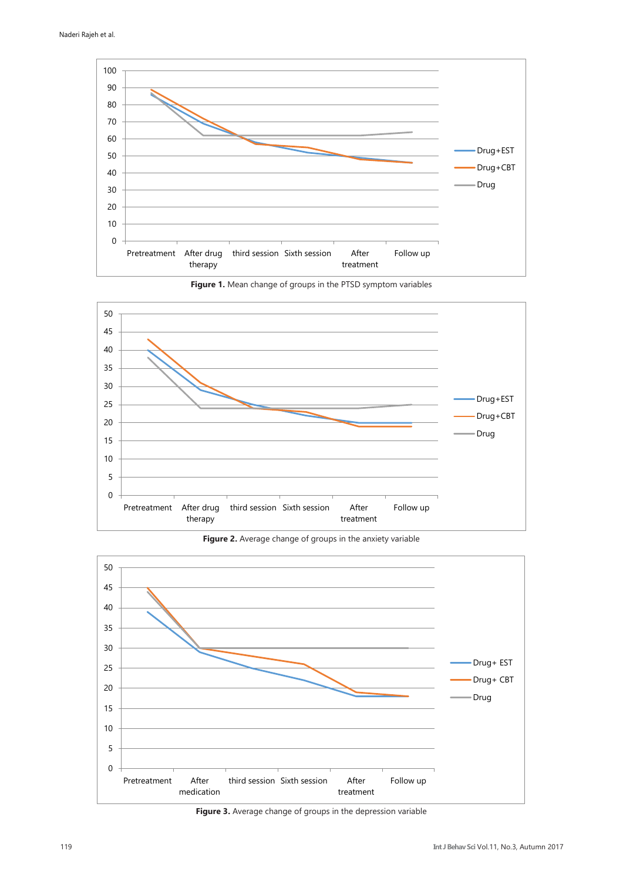





**Figure 2.** Average change of groups in the anxiety variable



**Figure 3.** Average change of groups in the depression variable